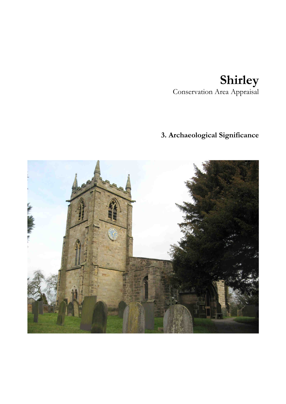## **Shirley**  Conservation Area Appraisal

## **3. Archaeological Significance**

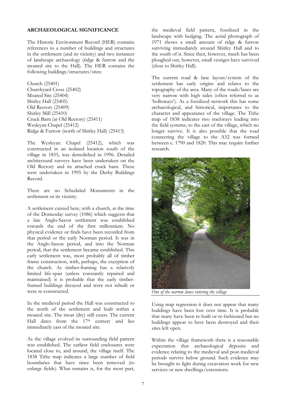## **ARCHAEOLOGICAL SIGNIFICANCE**

The Historic Environment Record (HER) contains references to a number of buildings and structures in the settlement (and its vicinity) and two instances of landscape archaeology (ridge & furrow and the moated site to the Hall). The HER contains the following buildings/structures/sites:

Church (25401) Churchyard Cross (25402) Moated Site (25404) Shirley Hall (25405) Old Rectory (25409) Shirley Mill (25410) Cruck Barn (at Old Rectory) (25411) Wesleyan Chapel (25412) Ridge & Furrow (north of Shirley Hall) (25413)

The Wesleyan Chapel (25412), which was constructed in an isolated location south of the village in 1855, was demolished in 1996. Detailed architectural surveys have been undertaken on the Old Rectory and its attached cruck barn. These were undertaken in 1995 by the Derby Buildings Record.

There are no Scheduled Monuments in the settlement or its vicinity.

A settlement existed here, with a church, at the time of the Domesday survey (1086) which suggests that a late Anglo-Saxon settlement was established towards the end of the first millennium. No physical evidence or finds have been recorded from that period or the early Norman period. It was in the Anglo-Saxon period, and into the Norman period, that the settlement became established. This early settlement was, most probably all of timber frame construction, with, perhaps, the exception of the church. As timber-framing has a relatively limited life-span (unless constantly repaired and maintained) it is probable that the early timberframed buildings decayed and were not rebuilt or were re-constructed.

In the medieval period the Hall was constructed to the north of the settlement and built within a moated site. The moat (dry) still exists. The current Hall dates from the 17<sup>th</sup> century and lies immediately east of the moated site.

As the village evolved its surrounding field pattern was established. The earliest field enclosures were located close to, and around, the village itself. The 1838 Tithe map indicates a large number of field boundaries that have since been removed (to enlarge fields). What remains is, for the most part, the medieval field pattern, fossilized in the landscape with hedging. The aerial photograph of 1971 shows a small amount of ridge & furrow surviving immediately around Shirley Hall and to the south of it. Since then, however, much has been ploughed out, however, small vestiges have survived (close to Shirley Hall).

The current road & lane layout/system of the settlement has early origins and relates to the topography of the area. Many of the roads/lanes are very narrow with high sides (often referred to as 'holloways'). As a fossilized network this has some archaeological, and historical, importance to the character and appearance of the village. The Tithe map of 1838 indicates two trackways leading into the field systems, to the east of the village, which no longer survive. It is also possible that the road connecting the village to the A52 was formed between c. 1790 and 1820. This may require further research.



*One of the narrow lanes entering the village* 

Using map regression it does not appear that many buildings have been lost over time. It is probable that many have been re-built or re-fashioned but no buildings appear to have been destroyed and their sites left open.

Within the village framework there is a reasonable expectation that archaeological deposits and evidence relating to the medieval and post-medieval periods survive below ground. Such evidence may be brought to light during excavation work for new services or new dwellings/extensions.